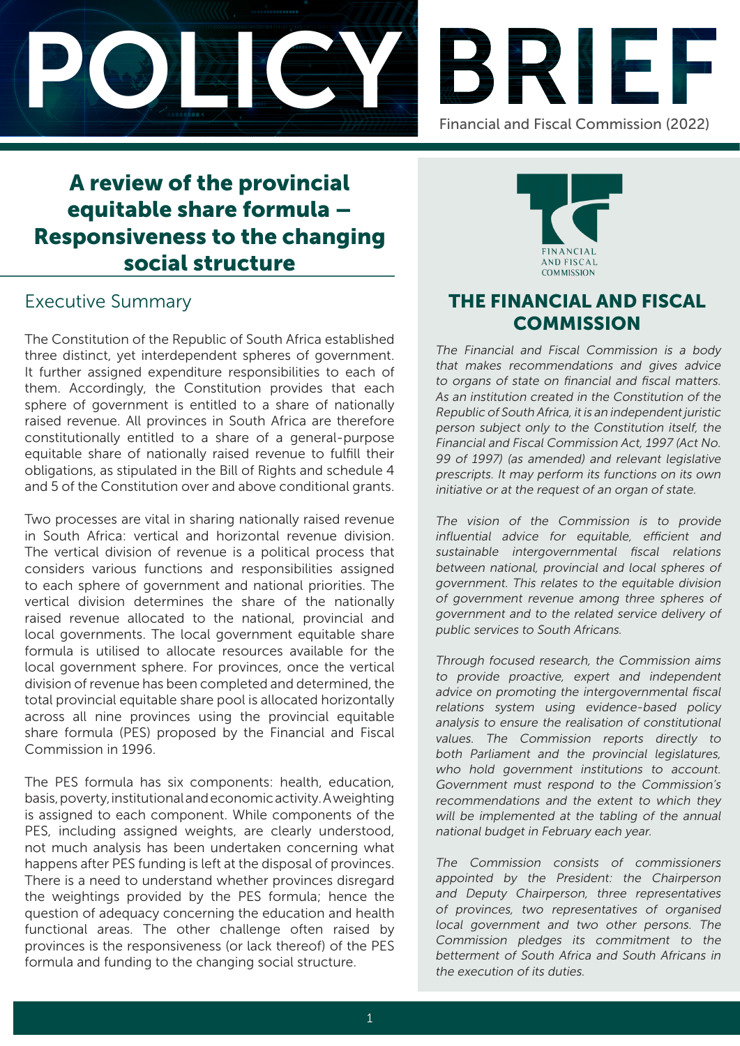



# A review of the provincial equitable share formula – Responsiveness to the changing social structure

## Executive Summary

The Constitution of the Republic of South Africa established three distinct, yet interdependent spheres of government. It further assigned expenditure responsibilities to each of them. Accordingly, the Constitution provides that each sphere of government is entitled to a share of nationally raised revenue. All provinces in South Africa are therefore constitutionally entitled to a share of a general-purpose equitable share of nationally raised revenue to fulfill their obligations, as stipulated in the Bill of Rights and schedule 4 and 5 of the Constitution over and above conditional grants.

Two processes are vital in sharing nationally raised revenue in South Africa: vertical and horizontal revenue division. The vertical division of revenue is a political process that considers various functions and responsibilities assigned to each sphere of government and national priorities. The vertical division determines the share of the nationally raised revenue allocated to the national, provincial and local governments. The local government equitable share formula is utilised to allocate resources available for the local government sphere. For provinces, once the vertical division of revenue has been completed and determined, the total provincial equitable share pool is allocated horizontally across all nine provinces using the provincial equitable share formula (PES) proposed by the Financial and Fiscal Commission in 1996.

The PES formula has six components: health, education, basis, poverty, institutional and economic activity. A weighting is assigned to each component. While components of the PES, including assigned weights, are clearly understood, not much analysis has been undertaken concerning what happens after PES funding is left at the disposal of provinces. There is a need to understand whether provinces disregard the weightings provided by the PES formula; hence the question of adequacy concerning the education and health functional areas. The other challenge often raised by provinces is the responsiveness (or lack thereof) of the PES formula and funding to the changing social structure.



## THE FINANCIAL AND FISCAL **COMMISSION**

The Financial and Fiscal Commission is a body that makes recommendations and gives advice to organs of state on financial and fiscal matters. As an institution created in the Constitution of the Republic of South Africa, it is an independent juristic person subject only to the Constitution itself, the Financial and Fiscal Commission Act, 1997 (Act No. 99 of 1997) (as amended) and relevant legislative prescripts. It may perform its functions on its own initiative or at the request of an organ of state.

The vision of the Commission is to provide influential advice for equitable, efficient and sustainable intergovernmental fiscal relations between national, provincial and local spheres of government. This relates to the equitable division of government revenue among three spheres of government and to the related service delivery of public services to South Africans.

Through focused research, the Commission aims to provide proactive, expert and independent advice on promoting the intergovernmental fiscal relations system using evidence-based policy analysis to ensure the realisation of constitutional values. The Commission reports directly to both Parliament and the provincial legislatures, who hold government institutions to account. Government must respond to the Commission's recommendations and the extent to which they will be implemented at the tabling of the annual national budget in February each year.

The Commission consists of commissioners appointed by the President: the Chairperson and Deputy Chairperson, three representatives of provinces, two representatives of organised local government and two other persons. The Commission pledges its commitment to the betterment of South Africa and South Africans in the execution of its duties.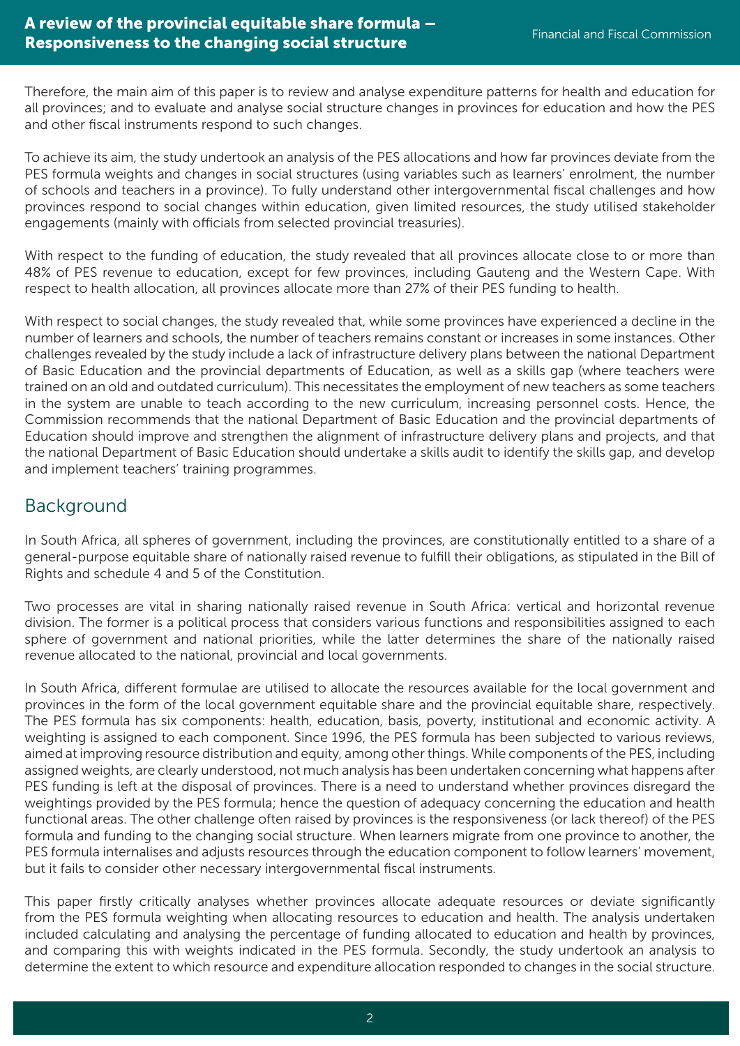Therefore, the main aim of this paper is to review and analyse expenditure patterns for health and education for all provinces; and to evaluate and analyse social structure changes in provinces for education and how the PES and other fiscal instruments respond to such changes.

To achieve its aim, the study undertook an analysis of the PES allocations and how far provinces deviate from the PES formula weights and changes in social structures (using variables such as learners' enrolment, the number of schools and teachers in a province). To fully understand other intergovernmental fiscal challenges and how provinces respond to social changes within education, given limited resources, the study utilised stakeholder engagements (mainly with officials from selected provincial treasuries).

With respect to the funding of education, the study revealed that all provinces allocate close to or more than 48% of PES revenue to education, except for few provinces, including Gauteng and the Western Cape. With respect to health allocation, all provinces allocate more than 27% of their PES funding to health.

With respect to social changes, the study revealed that, while some provinces have experienced a decline in the number of learners and schools, the number of teachers remains constant or increases in some instances. Other challenges revealed by the study include a lack of infrastructure delivery plans between the national Department of Basic Education and the provincial departments of Education, as well as a skills gap (where teachers were trained on an old and outdated curriculum). This necessitates the employment of new teachers as some teachers in the system are unable to teach according to the new curriculum, increasing personnel costs. Hence, the Commission recommends that the national Department of Basic Education and the provincial departments of Education should improve and strengthen the alignment of infrastructure delivery plans and projects, and that the national Department of Basic Education should undertake a skills audit to identify the skills gap, and develop and implement teachers' training programmes.

## Background

In South Africa, all spheres of government, including the provinces, are constitutionally entitled to a share of a general-purpose equitable share of nationally raised revenue to fulfill their obligations, as stipulated in the Bill of Rights and schedule 4 and 5 of the Constitution.

Two processes are vital in sharing nationally raised revenue in South Africa: vertical and horizontal revenue division. The former is a political process that considers various functions and responsibilities assigned to each sphere of government and national priorities, while the latter determines the share of the nationally raised revenue allocated to the national, provincial and local governments.

In South Africa, different formulae are utilised to allocate the resources available for the local government and provinces in the form of the local government equitable share and the provincial equitable share, respectively. The PES formula has six components: health, education, basis, poverty, institutional and economic activity. A weighting is assigned to each component. Since 1996, the PES formula has been subjected to various reviews, aimed at improving resource distribution and equity, among other things. While components of the PES, including assigned weights, are clearly understood, not much analysis has been undertaken concerning what happens after PES funding is left at the disposal of provinces. There is a need to understand whether provinces disregard the weightings provided by the PES formula; hence the question of adequacy concerning the education and health functional areas. The other challenge often raised by provinces is the responsiveness (or lack thereof) of the PES formula and funding to the changing social structure. When learners migrate from one province to another, the PES formula internalises and adjusts resources through the education component to follow learners' movement, but it fails to consider other necessary intergovernmental fiscal instruments.

This paper firstly critically analyses whether provinces allocate adequate resources or deviate significantly from the PES formula weighting when allocating resources to education and health. The analysis undertaken included calculating and analysing the percentage of funding allocated to education and health by provinces, and comparing this with weights indicated in the PES formula. Secondly, the study undertook an analysis to determine the extent to which resource and expenditure allocation responded to changes in the social structure.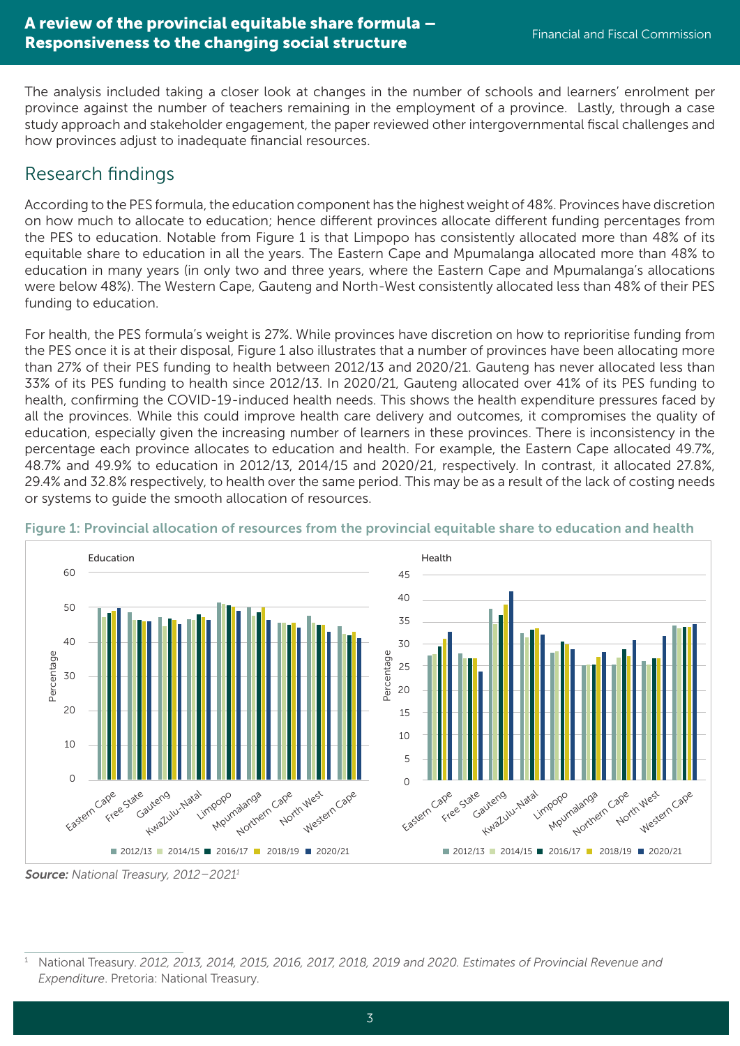The analysis included taking a closer look at changes in the number of schools and learners' enrolment per province against the number of teachers remaining in the employment of a province. Lastly, through a case study approach and stakeholder engagement, the paper reviewed other intergovernmental fiscal challenges and how provinces adjust to inadequate financial resources.

## Research findings

According to the PES formula, the education component has the highest weight of 48%. Provinces have discretion on how much to allocate to education; hence different provinces allocate different funding percentages from the PES to education. Notable from Figure 1 is that Limpopo has consistently allocated more than 48% of its equitable share to education in all the years. The Eastern Cape and Mpumalanga allocated more than 48% to education in many years (in only two and three years, where the Eastern Cape and Mpumalanga's allocations were below 48%). The Western Cape, Gauteng and North-West consistently allocated less than 48% of their PES funding to education.

For health, the PES formula's weight is 27%. While provinces have discretion on how to reprioritise funding from the PES once it is at their disposal, Figure 1 also illustrates that a number of provinces have been allocating more than 27% of their PES funding to health between 2012/13 and 2020/21. Gauteng has never allocated less than 33% of its PES funding to health since 2012/13. In 2020/21, Gauteng allocated over 41% of its PES funding to health, confirming the COVID-19-induced health needs. This shows the health expenditure pressures faced by all the provinces. While this could improve health care delivery and outcomes, it compromises the quality of education, especially given the increasing number of learners in these provinces. There is inconsistency in the percentage each province allocates to education and health. For example, the Eastern Cape allocated 49.7%, 48.7% and 49.9% to education in 2012/13, 2014/15 and 2020/21, respectively. In contrast, it allocated 27.8%, 29.4% and 32.8% respectively, to health over the same period. This may be as a result of the lack of costing needs or systems to guide the smooth allocation of resources.



### Figure 1: Provincial allocation of resources from the provincial equitable share to education and health

Source: National Treasury, 2012-2021<sup>1</sup>

<sup>1</sup> National Treasury. *2012, 2013, 2014, 2015, 2016, 2017, 2018, 2019 and 2020. Estimates of Provincial Revenue and*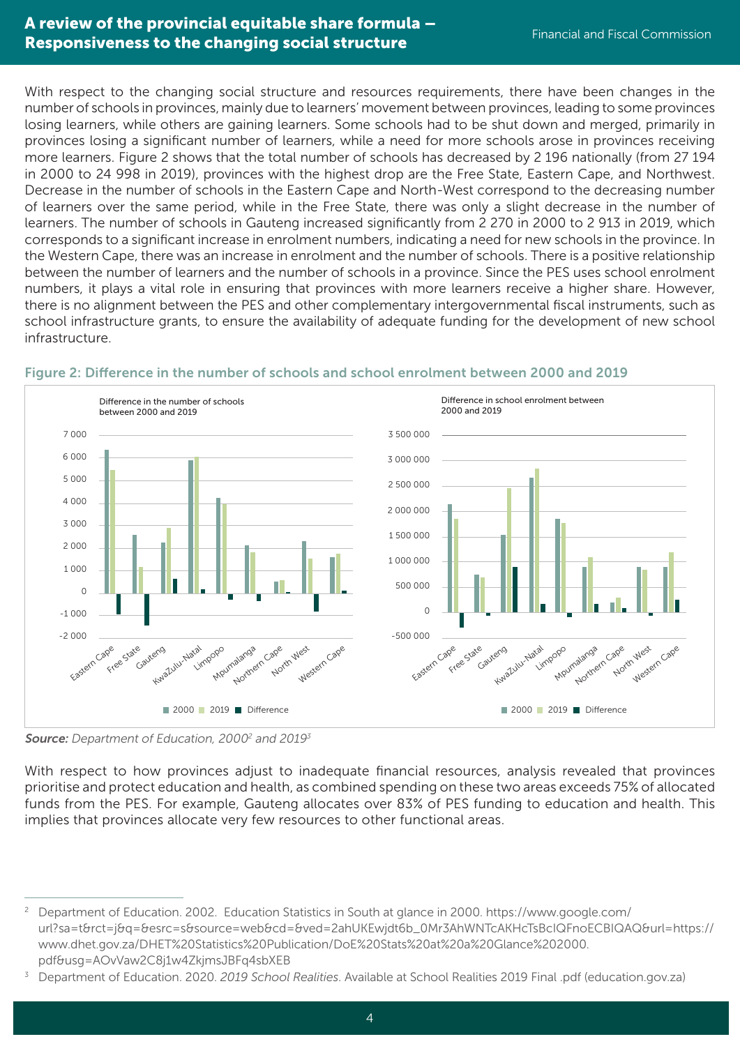### A review of the provincial equitable share formula –<br>
A review of the provincial equitable share formula – Financial and Fiscal Commission Responsiveness to the changing social structure

With respect to the changing social structure and resources requirements, there have been changes in the number of schools in provinces, mainly due to learners' movement between provinces, leading to some provinces losing learners, while others are gaining learners. Some schools had to be shut down and merged, primarily in provinces losing a significant number of learners, while a need for more schools arose in provinces receiving more learners. Figure 2 shows that the total number of schools has decreased by 2 196 nationally (from 27 194 in 2000 to 24 998 in 2019), provinces with the highest drop are the Free State, Eastern Cape, and Northwest. Decrease in the number of schools in the Eastern Cape and North-West correspond to the decreasing number of learners over the same period, while in the Free State, there was only a slight decrease in the number of learners. The number of schools in Gauteng increased significantly from 2 270 in 2000 to 2 913 in 2019, which corresponds to a significant increase in enrolment numbers, indicating a need for new schools in the province. In the Western Cape, there was an increase in enrolment and the number of schools. There is a positive relationship between the number of learners and the number of schools in a province. Since the PES uses school enrolment numbers, it plays a vital role in ensuring that provinces with more learners receive a higher share. However, there is no alignment between the PES and other complementary intergovernmental fiscal instruments, such as school infrastructure grants, to ensure the availability of adequate funding for the development of new school infrastructure.



#### Figure 2: Difference in the number of schools and school enrolment between 2000 and 2019

Source: Department of Education, 2000<sup>2</sup> and 2019<sup>3</sup>

With respect to how provinces adjust to inadequate financial resources, analysis revealed that provinces prioritise and protect education and health, as combined spending on these two areas exceeds 75% of allocated funds from the PES. For example, Gauteng allocates over 83% of PES funding to education and health. This implies that provinces allocate very few resources to other functional areas.

<sup>&</sup>lt;sup>2</sup> Department of Education. 2002. Education Statistics in South at glance in 2000. https://www.google.com/ url?sa=t&rct=j&q=&esrc=s&source=web&cd=&ved=2ahUKEwjdt6b\_0Mr3AhWNTcAKHcTsBcIQFnoECBIQAQ&url=https:// www.dhet.gov.za/DHET%20Statistics%20Publication/DoE%20Stats%20at%20a%20Glance%202000. pdf&usg=AOvVaw2C8j1w4ZkjmsJBFq4sbXEB<br>Department of Education. 2020. *2019 School Realities*. Available at School Realities 2019 Final .pdf (education.gov.za)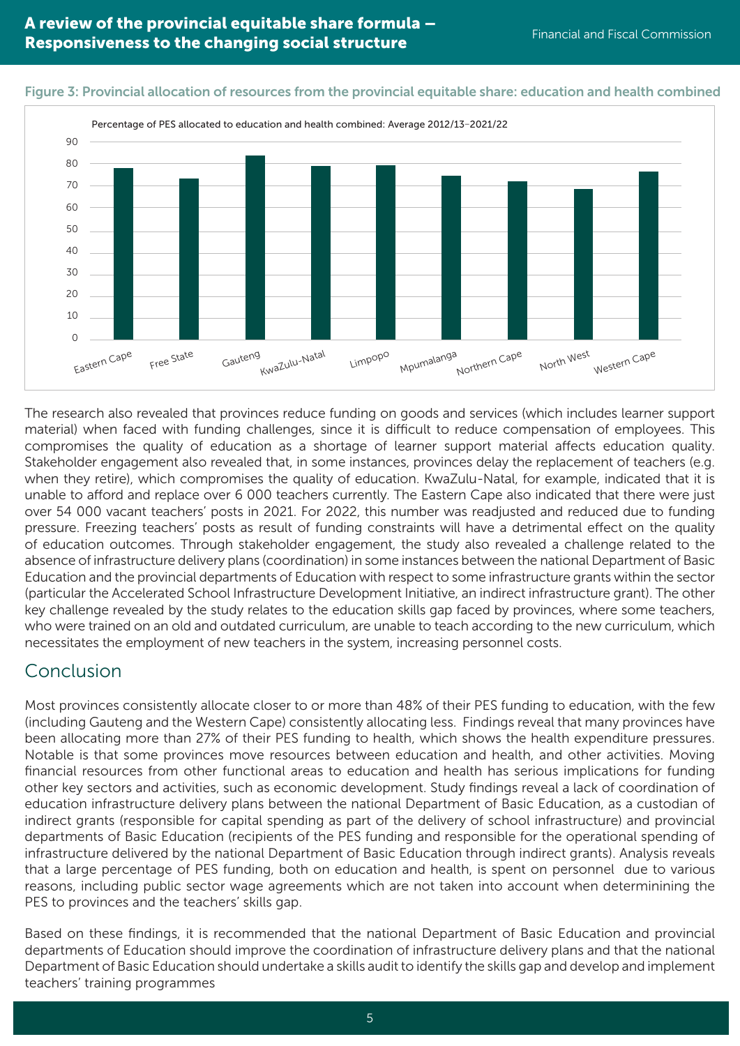



#### Figure 3: Provincial allocation of resources from the provincial equitable share: education and health combined

The research also revealed that provinces reduce funding on goods and services (which includes learner support material) when faced with funding challenges, since it is difficult to reduce compensation of employees. This compromises the quality of education as a shortage of learner support material affects education quality. Stakeholder engagement also revealed that, in some instances, provinces delay the replacement of teachers (e.g. when they retire), which compromises the quality of education. KwaZulu-Natal, for example, indicated that it is unable to afford and replace over 6 000 teachers currently. The Eastern Cape also indicated that there were just over 54 000 vacant teachers' posts in 2021. For 2022, this number was readjusted and reduced due to funding pressure. Freezing teachers' posts as result of funding constraints will have a detrimental effect on the quality of education outcomes. Through stakeholder engagement, the study also revealed a challenge related to the absence of infrastructure delivery plans (coordination) in some instances between the national Department of Basic Education and the provincial departments of Education with respect to some infrastructure grants within the sector (particular the Accelerated School Infrastructure Development Initiative, an indirect infrastructure grant). The other key challenge revealed by the study relates to the education skills gap faced by provinces, where some teachers, who were trained on an old and outdated curriculum, are unable to teach according to the new curriculum, which necessitates the employment of new teachers in the system, increasing personnel costs.

## Conclusion

Most provinces consistently allocate closer to or more than 48% of their PES funding to education, with the few (including Gauteng and the Western Cape) consistently allocating less. Findings reveal that many provinces have been allocating more than 27% of their PES funding to health, which shows the health expenditure pressures. Notable is that some provinces move resources between education and health, and other activities. Moving financial resources from other functional areas to education and health has serious implications for funding other key sectors and activities, such as economic development. Study findings reveal a lack of coordination of education infrastructure delivery plans between the national Department of Basic Education, as a custodian of indirect grants (responsible for capital spending as part of the delivery of school infrastructure) and provincial departments of Basic Education (recipients of the PES funding and responsible for the operational spending of infrastructure delivered by the national Department of Basic Education through indirect grants). Analysis reveals that a large percentage of PES funding, both on education and health, is spent on personnel due to various reasons, including public sector wage agreements which are not taken into account when determinining the PES to provinces and the teachers' skills gap.

Based on these findings, it is recommended that the national Department of Basic Education and provincial departments of Education should improve the coordination of infrastructure delivery plans and that the national Department of Basic Education should undertake a skills audit to identify the skills gap and develop and implement teachers' training programmes